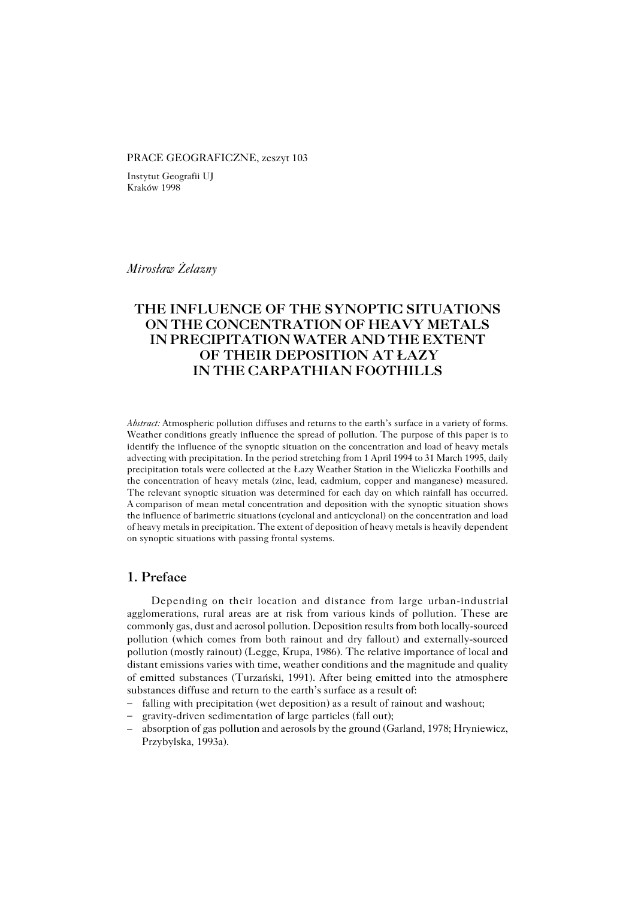#### PRACE GEOGRAFICZNE, zeszyt 103

Instytut Geografii UJ Kraków 1998

*Mirosław Żelazny*

# **THE INFLUENCE OF THE SYNOPTIC SITUATIONS ON THE CONCENTRATION OF HEAVY METALS IN PRECIPITATION WATER AND THE EXTENT OF THEIR DEPOSITION AT ŁAZY IN THE CARPATHIAN FOOTHILLS**

*Abstract:* Atmospheric pollution diffuses and returns to the earth's surface in a variety of forms. Weather conditions greatly influence the spread of pollution. The purpose of this paper is to identify the influence of the synoptic situation on the concentration and load of heavy metals advecting with precipitation. In the period stretching from 1 April 1994 to 31 March 1995, daily precipitation totals were collected at the Łazy Weather Station in the Wieliczka Foothills and the concentration of heavy metals (zinc, lead, cadmium, copper and manganese) measured. The relevant synoptic situation was determined for each day on which rainfall has occurred. Acomparison of mean metal concentration and deposition with the synoptic situation shows the influence of barimetric situations (cyclonal and anticyclonal) on the concentration and load of heavy metals in precipitation. The extent of deposition of heavy metals is heavily dependent on synoptic situations with passing frontal systems.

### **1. Preface**

Depending on their location and distance from large urban−industrial agglomerations, rural areas are at risk from various kinds of pollution. These are commonly gas, dust and aerosol pollution. Deposition results from both locally−sourced pollution (which comes from both rainout and dry fallout) and externally−sourced pollution (mostly rainout) (Legge, Krupa, 1986). The relative importance of local and distant emissions varies with time, weather conditions and the magnitude and quality of emitted substances (Turzański, 1991). After being emitted into the atmosphere substances diffuse and return to the earth's surface as a result of:

- falling with precipitation (wet deposition) as a result of rainout and washout;
- gravity−driven sedimentation of large particles (fall out); –
- absorption of gas pollution and aerosols by the ground (Garland, 1978; Hryniewicz, Przybylska, 1993a).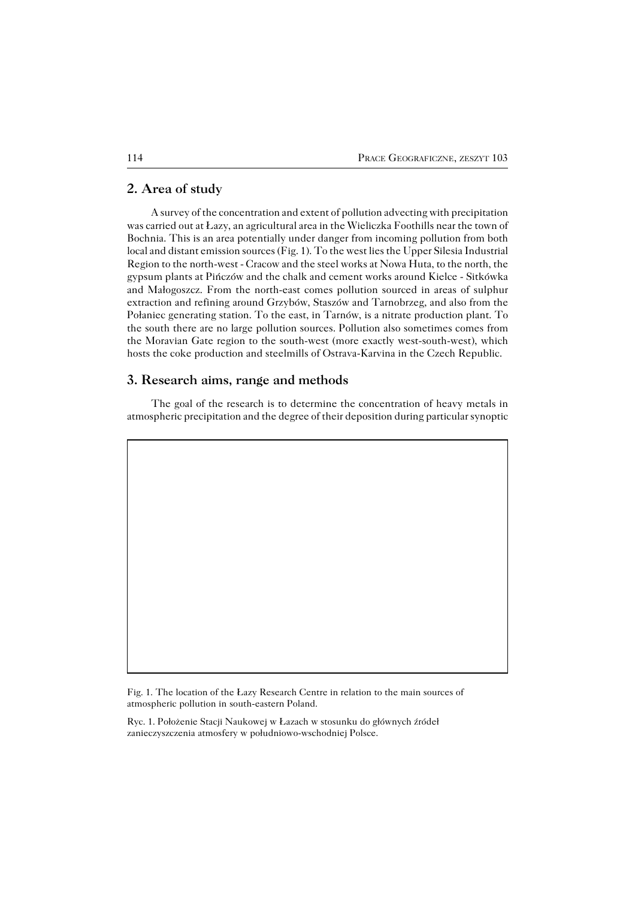### **2. Area of study**

A survey of the concentration and extent of pollution advecting with precipitation was carried out at Łazy, an agricultural area in the Wieliczka Foothills near the town of Bochnia. This is an area potentially under danger from incoming pollution from both local and distant emission sources (Fig. 1). To the west lies the Upper Silesia Industrial Region to the north−west − Cracow and the steel works at Nowa Huta, to the north, the gypsum plants at Pińczów and the chalk and cement works around Kielce − Sitkówka and Małogoszcz. From the north−east comes pollution sourced in areas of sulphur extraction and refining around Grzybów, Staszów and Tarnobrzeg, and also from the Połaniec generating station. To the east, in Tarnów, is a nitrate production plant. To the south there are no large pollution sources. Pollution also sometimes comes from the Moravian Gate region to the south−west (more exactly west−south−west), which hosts the coke production and steelmills of Ostrava−Karvina in the Czech Republic.

#### **3. Research aims, range and methods**

The goal of the research is to determine the concentration of heavy metals in atmospheric precipitation and the degree of their deposition during particular synoptic

Fig. 1. The location of the Łazy Research Centre in relation to the main sources of atmospheric pollution in south−eastern Poland.

Ryc. 1. Położenie Stacji Naukowej w Łazach w stosunku do głównych źródeł zanieczyszczenia atmosfery w południowo−wschodniej Polsce.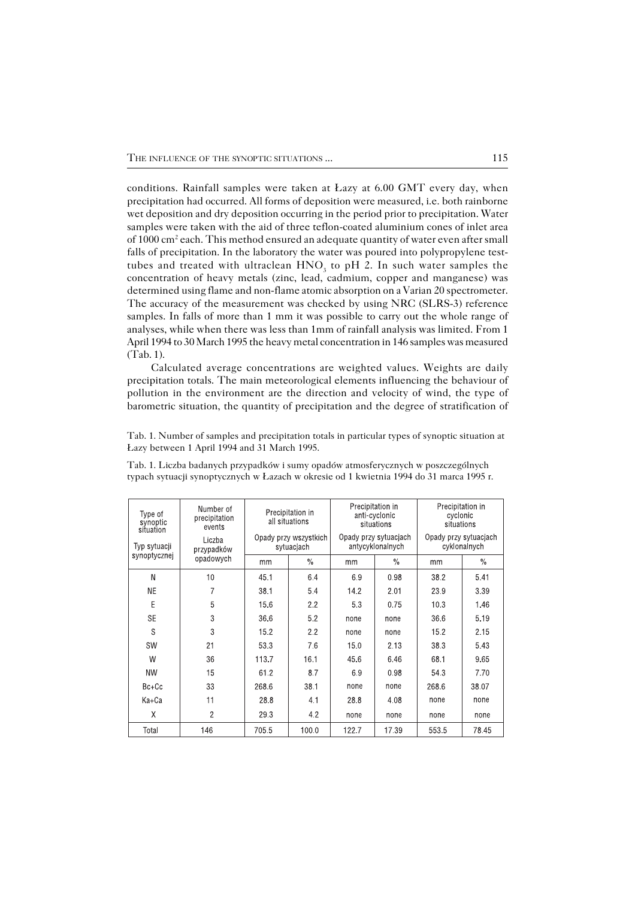conditions. Rainfall samples were taken at Łazy at 6.00 GMT every day, when precipitation had occurred. All forms of deposition were measured, i.e. both rainborne wet deposition and dry deposition occurring in the period prior to precipitation. Water samples were taken with the aid of three teflon−coated aluminium cones of inlet area of 1000 cm<sup>2</sup> each. This method ensured an adequate quantity of water even after small falls of precipitation. In the laboratory the water was poured into polypropylene test− tubes and treated with ultraclean  $HNO<sub>3</sub>$  to pH 2. In such water samples the concentration of heavy metals (zinc, lead, cadmium, copper and manganese) was determined using flame and non−flame atomic absorption on a Varian 20 spectrometer. The accuracy of the measurement was checked by using NRC (SLRS−3) reference samples. In falls of more than 1 mm it was possible to carry out the whole range of analyses, while when there was less than 1mm of rainfall analysis was limited. From 1 April 1994 to 30 March 1995 the heavy metal concentration in 146 samples was measured (Tab. 1).

Calculated average concentrations are weighted values. Weights are daily precipitation totals. The main meteorological elements influencing the behaviour of pollution in the environment are the direction and velocity of wind, the type of barometric situation, the quantity of precipitation and the degree of stratification of

Tab. 1. Number of samples and precipitation totals in particular types of synoptic situation at Łazy between 1 April 1994 and 31 March 1995.

|  | Type of<br>synoptic<br>situation<br>Typ sytuacji | Number of<br>precipitation<br>events<br>Liczba<br>przypadków<br>opadowych | Precipitation in<br>all situations<br>Opady przy wszystkich<br>sytuacjach |               | Precipitation in<br>anti-cyclonic<br>situations<br>Opady przy sytuacjach<br>antycyklonalnych |               | Precipitation in<br>cyclonic<br>situations<br>Opady przy sytuacjach<br>cyklonalnych |               |
|--|--------------------------------------------------|---------------------------------------------------------------------------|---------------------------------------------------------------------------|---------------|----------------------------------------------------------------------------------------------|---------------|-------------------------------------------------------------------------------------|---------------|
|  | synoptycznej                                     |                                                                           | mm                                                                        | $\frac{0}{0}$ | mm                                                                                           | $\frac{0}{0}$ | mm                                                                                  | $\frac{0}{0}$ |
|  | N                                                | 10                                                                        | 45.1                                                                      | 6.4           | 6.9                                                                                          | 0.98          | 38.2                                                                                | 5.41          |
|  | <b>NE</b>                                        | 7                                                                         | 38.1                                                                      | 5.4           | 14.2                                                                                         | 2.01          | 23.9                                                                                | 3.39          |
|  | E                                                | 5                                                                         | 15.6                                                                      | 2.2           | 5.3                                                                                          | 0.75          | 10.3                                                                                | 1.46          |
|  | <b>SE</b>                                        | 3                                                                         | 36.6                                                                      | 5.2           | none                                                                                         | none          | 36.6                                                                                | 5.19          |
|  | S                                                | 3                                                                         | 15.2                                                                      | 2.2           | none                                                                                         | none          | 15.2                                                                                | 2.15          |
|  | SW                                               | 21                                                                        | 53.3                                                                      | 7.6           | 15.0                                                                                         | 2.13          | 38.3                                                                                | 5.43          |
|  | W                                                | 36                                                                        | 113.7                                                                     | 16.1          | 45.6                                                                                         | 6.46          | 68.1                                                                                | 9.65          |
|  | <b>NW</b>                                        | 15                                                                        | 61.2                                                                      | 87            | 6.9                                                                                          | 0.98          | 54.3                                                                                | 7.70          |
|  | $Bc+Cc$                                          | 33                                                                        | 268.6                                                                     | 38.1          | none                                                                                         | none          | 268.6                                                                               | 38.07         |
|  | Ka+Ca                                            | 11                                                                        | 28.8                                                                      | 4.1           | 28.8                                                                                         | 4.08          | none                                                                                | none          |
|  | χ                                                | $\overline{2}$                                                            | 29.3                                                                      | 4.2           | none                                                                                         | none          | none                                                                                | none          |
|  | Total                                            | 146                                                                       | 7055                                                                      | 100 $O$       | 1227                                                                                         | 17 39         | 5535                                                                                | 78 45         |

Tab. 1. Liczba badanych przypadków i sumy opadów atmosferycznych w poszczególnych typach sytuacji synoptycznych w Łazach w okresie od 1 kwietnia 1994 do 31 marca 1995 r.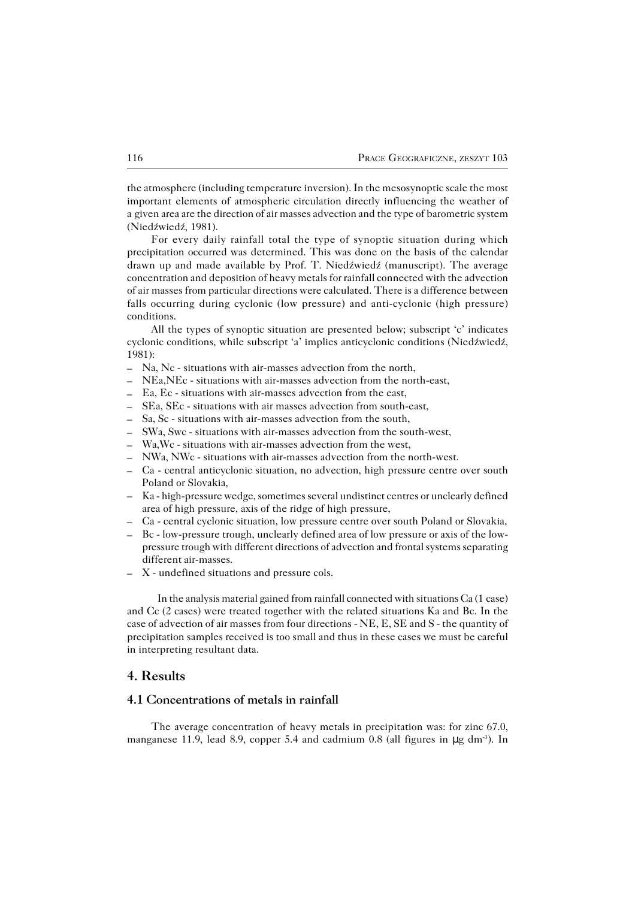the atmosphere (including temperature inversion). In the mesosynoptic scale the most important elements of atmospheric circulation directly influencing the weather of agiven area are the direction of air masses advection and the type of barometric system (Niedźwiedź, 1981).

For every daily rainfall total the type of synoptic situation during which precipitation occurred was determined. This was done on the basis of the calendar drawn up and made available by Prof. T. Niedźwiedź (manuscript). The average concentration and deposition of heavy metals for rainfall connected with the advection of air masses from particular directions were calculated. There is a difference between falls occurring during cyclonic (low pressure) and anti−cyclonic (high pressure) conditions.

All the types of synoptic situation are presented below; subscript 'c' indicates cyclonic conditions, while subscript 'a' implies anticyclonic conditions (Niedźwiedź, 1981):

- Na, Nc − situations with air−masses advection from the north, –
- NEa,NEc − situations with air−masses advection from the north−east, –
- Ea, Ec − situations with air−masses advection from the east, –
- SEa, SEc − situations with air masses advection from south−east, –
- Sa, Sc − situations with air−masses advection from the south, –
- SWa, Swc − situations with air−masses advection from the south−west, –
- Wa,Wc − situations with air−masses advection from the west, –
- NWa, NWc − situations with air−masses advection from the north−west. –
- Ca − central anticyclonic situation, no advection, high pressure centre over south Poland or Slovakia,
- Ka − high−pressure wedge, sometimes several undistinct centres or unclearly defined area of high pressure, axis of the ridge of high pressure,
- Ca − central cyclonic situation, low pressure centre over south Poland or Slovakia, –
- Bc − low−pressure trough, unclearly defined area of low pressure or axis of the low− pressure trough with different directions of advection and frontal systems separating different air−masses. –
- X − undefined situations and pressure cols. –

In the analysis material gained from rainfall connected with situations Ca (1case) and Cc (2 cases) were treated together with the related situations Ka and Bc. In the case of advection of air masses from four directions − NE, E, SE and S − the quantity of precipitation samples received is too small and thus in these cases we must be careful in interpreting resultant data.

## **4. Results**

### **4.1 Concentrations of metals in rainfall**

The average concentration of heavy metals in precipitation was: for zinc 67.0, manganese 11.9, lead 8.9, copper 5.4 and cadmium 0.8 (all figures in μg dm<sup>-3</sup>). In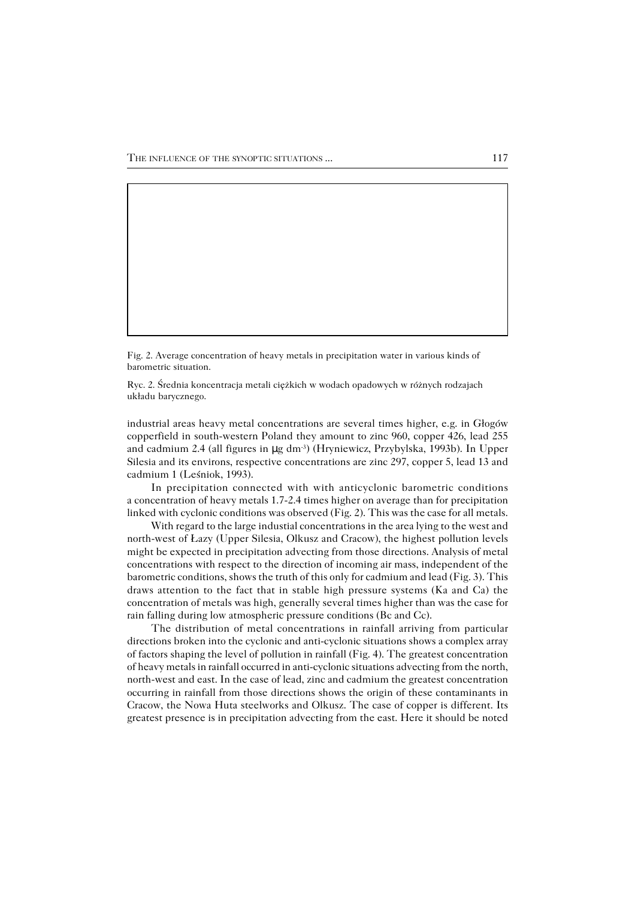Fig. 2. Average concentration of heavy metals in precipitation water in various kinds of barometric situation.

Ryc. 2. Średnia koncentracja metali ciężkich w wodach opadowych w różnych rodzajach układu barycznego.

industrial areas heavy metal concentrations are several times higher, e.g. in Głogów copperfield in south−western Poland they amount to zinc 960, copper 426, lead 255 and cadmium 2.4 (all figures in µg dm−3) (Hryniewicz, Przybylska, 1993b). In Upper Silesia and its environs, respective concentrations are zinc 297, copper 5, lead 13 and cadmium 1 (Leśniok, 1993).

In precipitation connected with with anticyclonic barometric conditions aconcentration of heavy metals 1.7−2.4 times higher on average than for precipitation linked with cyclonic conditions was observed (Fig. 2). This was the case for all metals.

With regard to the large industial concentrations in the area lying to the west and north−west of Łazy (Upper Silesia, Olkusz and Cracow), the highest pollution levels might be expected in precipitation advecting from those directions. Analysis of metal concentrations with respect to the direction of incoming air mass, independent of the barometric conditions, shows the truth of this only for cadmium and lead (Fig. 3). This draws attention to the fact that in stable high pressure systems (Ka and Ca) the concentration of metals was high, generally several times higher than was the case for rain falling during low atmospheric pressure conditions (Bc and Cc).

The distribution of metal concentrations in rainfall arriving from particular directions broken into the cyclonic and anti−cyclonic situations shows a complex array of factors shaping the level of pollution in rainfall (Fig. 4). The greatest concentration of heavy metals in rainfall occurred in anti−cyclonic situations advecting from the north, north−west and east. In the case of lead, zinc and cadmium the greatest concentration occurring in rainfall from those directions shows the origin of these contaminants in Cracow, the Nowa Huta steelworks and Olkusz. The case of copper is different. Its greatest presence is in precipitation advecting from the east. Here it should be noted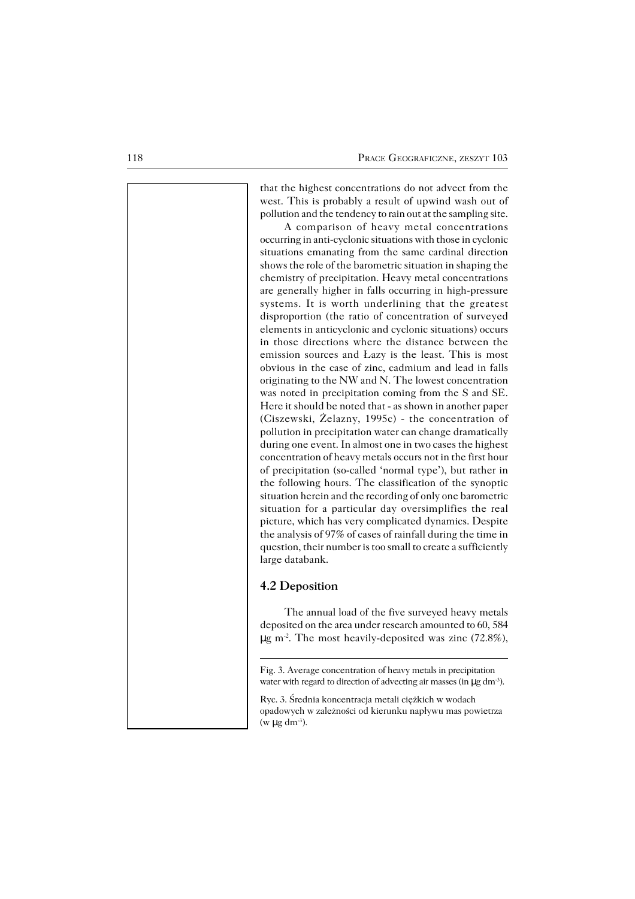that the highest concentrations do not advect from the west. This is probably a result of upwind wash out of pollution and the tendency to rain out at the sampling site.

A comparison of heavy metal concentrations occurring in anti−cyclonic situations with those in cyclonic situations emanating from the same cardinal direction shows the role of the barometric situation in shaping the chemistry of precipitation. Heavy metal concentrations are generally higher in falls occurring in high−pressure systems. It is worth underlining that the greatest disproportion (the ratio of concentration of surveyed elements in anticyclonic and cyclonic situations) occurs in those directions where the distance between the emission sources and Łazy is the least. This is most obvious in the case of zinc, cadmium and lead in falls originating to the NW and N. The lowest concentration was noted in precipitation coming from the S and SE. Here it should be noted that − as shown in another paper (Ciszewski, Żelazny, 1995c) − the concentration of pollution in precipitation water can change dramatically during one event. In almost one in two cases the highest concentration of heavy metals occurs not in the first hour of precipitation (so−called 'normal type'), but rather in the following hours. The classification of the synoptic situation herein and the recording of only one barometric situation for a particular day oversimplifies the real picture, which has very complicated dynamics. Despite the analysis of 97% of cases of rainfall during the time in question, their number is too small to create a sufficiently large databank.

#### **4.2 Deposition**

The annual load of the five surveyed heavy metals deposited on the area under research amounted to 60,584 µg m−2 . The most heavily−deposited was zinc (72.8%),

Ryc. 3. Średnia koncentracja metali ciężkich w wodach opadowych w zależności od kierunku napływu mas powietrza  $(w \mu g dm^{-3})$ .

Fig. 3. Average concentration of heavy metals in precipitation water with regard to direction of advecting air masses (in μg dm<sup>-3</sup>).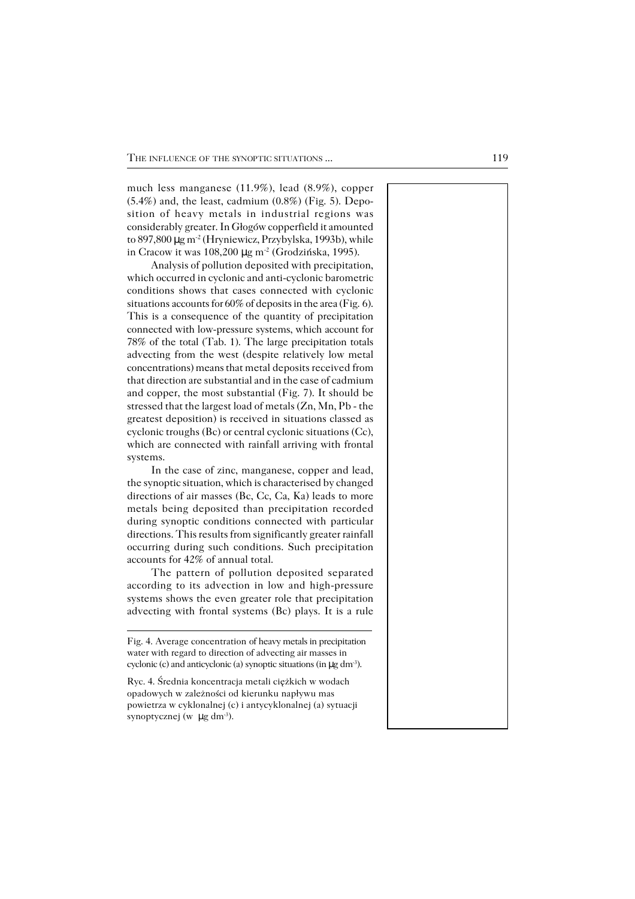much less manganese (11.9%), lead (8.9%), copper (5.4%) and, the least, cadmium (0.8%) (Fig. 5). Depo− sition of heavy metals in industrial regions was considerably greater. In Głogów copperfield it amounted to 897,800 μg m<sup>-2</sup> (Hryniewicz, Przybylska, 1993b), while in Cracow it was 108,200 µg m−2 (Grodzińska, 1995).

Analysis of pollution deposited with precipitation, which occurred in cyclonic and anti−cyclonic barometric conditions shows that cases connected with cyclonic situations accounts for 60% of deposits in the area (Fig.6). This is a consequence of the quantity of precipitation connected with low−pressure systems, which account for 78% of the total (Tab. 1). The large precipitation totals advecting from the west (despite relatively low metal concentrations) means that metal deposits received from that direction are substantial and in the case of cadmium and copper, the most substantial (Fig. 7). It should be stressed that the largest load of metals (Zn, Mn, Pb − the greatest deposition) is received in situations classed as cyclonic troughs (Bc) or central cyclonic situations (Cc), which are connected with rainfall arriving with frontal systems.

In the case of zinc, manganese, copper and lead, the synoptic situation, which is characterised by changed directions of air masses (Bc, Cc, Ca, Ka) leads to more metals being deposited than precipitation recorded during synoptic conditions connected with particular directions. This results from significantly greater rainfall occurring during such conditions. Such precipitation accounts for 42% of annual total.

The pattern of pollution deposited separated according to its advection in low and high−pressure systems shows the even greater role that precipitation advecting with frontal systems (Bc) plays. It is a rule

Fig. 4. Average concentration of heavy metals in precipitation water with regard to direction of advecting air masses in cyclonic (c) and anticyclonic (a) synoptic situations (in  $\mu$ g dm<sup>-3</sup>).

Ryc. 4. Średnia koncentracja metali ciężkich w wodach opadowych w zależności od kierunku napływu mas powietrza w cyklonalnej (c) i antycyklonalnej (a) sytuacji synoptycznej (w  $\mu$ g dm<sup>-3</sup>).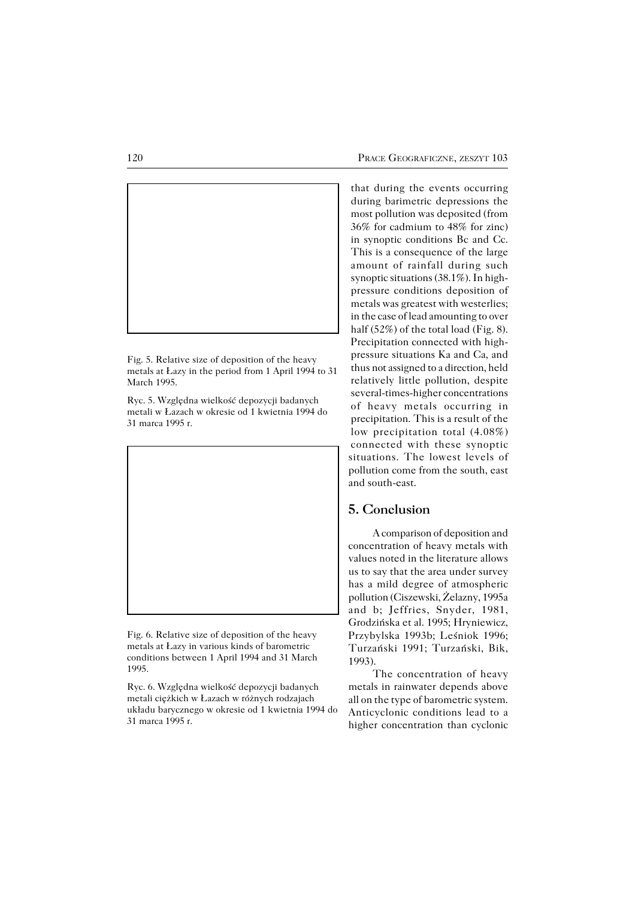

Fig. 5. Relative size of deposition of the heavy metals at Łazy in the period from 1 April 1994 to 31 March 1995.

Ryc. 5. Względna wielkość depozycji badanych metali w Łazach w okresie od 1 kwietnia 1994 do 31 marca 1995 r.



Fig. 6. Relative size of deposition of the heavy metals at Łazy in various kinds of barometric conditions between 1 April 1994 and 31 March 1995.

Ryc. 6. Względna wielkość depozycji badanych metali ciężkich w Łazach w różnych rodzajach układu barycznego w okresie od 1 kwietnia 1994 do 31 marca 1995 r.

that during the events occurring during barimetric depressions the most pollution was deposited (from 36% for cadmium to 48% for zinc) in synoptic conditions Bc and Cc. This is a consequence of the large amount of rainfall during such synoptic situations (38.1%). In high− pressure conditions deposition of metals was greatest with westerlies; in the case of lead amounting to over half (52%) of the total load (Fig. 8). Precipitation connected with high− pressure situations Ka and Ca, and thus not assigned to a direction, held relatively little pollution, despite several−times−higher concentrations of heavy metals occurring in precipitation. This is a result of the low precipitation total (4.08%) connected with these synoptic situations. The lowest levels of pollution come from the south, east and south−east.

## **5. Conclusion**

A comparison of deposition and concentration of heavy metals with values noted in the literature allows us to say that the area under survey has a mild degree of atmospheric pollution (Ciszewski, Żelazny, 1995a and b; Jeffries, Snyder, 1981, Grodzińska et al. 1995; Hryniewicz, Przybylska 1993b; Leśniok 1996; Turzański 1991; Turzański, Bik, 1993).

The concentration of heavy metals in rainwater depends above all on the type of barometric system. Anticyclonic conditions lead to a higher concentration than cyclonic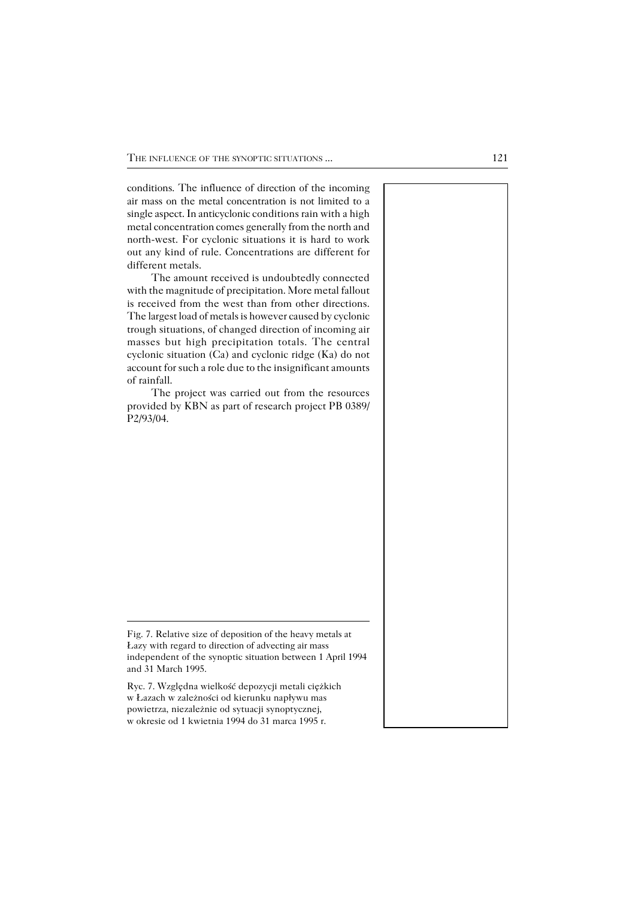conditions. The influence of direction of the incoming air mass on the metal concentration is not limited to a single aspect. In anticyclonic conditions rain with a high metal concentration comes generally from the north and north−west. For cyclonic situations it is hard to work out any kind of rule. Concentrations are different for different metals.

The amount received is undoubtedly connected with the magnitude of precipitation. More metal fallout is received from the west than from other directions. The largest load of metals is however caused by cyclonic trough situations, of changed direction of incoming air masses but high precipitation totals. The central cyclonic situation (Ca) and cyclonic ridge (Ka) do not account for such a role due to the insignificant amounts of rainfall.

The project was carried out from the resources provided by KBN as part of research project PB 0389/ P2/93/04.

Ryc. 7. Względna wielkość depozycji metali ciężkich w Łazach w zależności od kierunku napływu mas powietrza, niezależnie od sytuacji synoptycznej, w okresie od 1 kwietnia 1994 do 31 marca 1995 r.

Fig. 7. Relative size of deposition of the heavy metals at Łazy with regard to direction of advecting air mass independent of the synoptic situation between 1 April 1994 and 31 March 1995.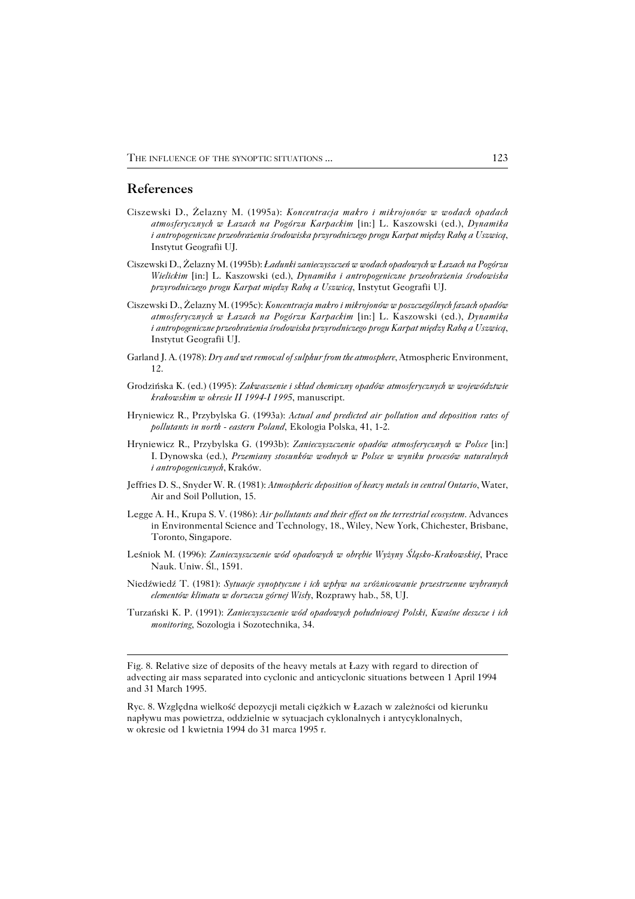#### **References**

- Ciszewski D., Żelazny M. (1995a): *Koncentracja makro i mikrojonów w wodach opadach atmosferycznych w Łazach na Pogórzu Karpackim* [in:] L. Kaszowski (ed.), *Dynamika iantropogeniczne przeobrażenia środowiska przyrodniczego progu Karpat między Rabą a Uszwicą*, Instytut Geografii UJ.
- Ciszewski D., Żelazny M. (1995b): *Ładunki zanieczyszczeń w wodach opadowych w Łazach na Pogórzu Wielickim* [in:] L. Kaszowski (ed.), *Dynamika i antropogeniczne przeobrażenia środowiska przyrodniczego progu Karpat między Rabą a Uszwicą*, Instytut Geografii UJ.
- Ciszewski D., Żelazny M. (1995c): *Koncentracja makro i mikrojonów w poszczególnych fazach opadów atmosferycznych w Łazach na Pogórzu Karpackim* [in:] L. Kaszowski (ed.), *Dynamika iantropogeniczne przeobrażenia środowiska przyrodniczego progu Karpat między Rabą a Uszwicą*, Instytut Geografii UJ.
- Garland J. A. (1978): *Dry and wet removal of sulphur from the atmosphere*, Atmospheric Environment, 12.
- Grodzińska K. (ed.) (1995): *Zakwaszenie i skład chemiczny opadów atmosferycznych w województwie krakowskim w okresie II 1994−I 1995*, manuscript.
- Hryniewicz R., Przybylska G. (1993a): *Actual and predicted air pollution and deposition rates of pollutants in north − eastern Poland*, Ekologia Polska, 41, 1−2.
- Hryniewicz R., Przybylska G. (1993b): *Zanieczyszczenie opadów atmosferycznych w Polsce* [in:] I.Dynowska (ed.), *Przemiany stosunków wodnych w Polsce w wyniku procesów naturalnych iantropogenicznych*, Kraków.
- Jeffries D. S., Snyder W. R. (1981): *Atmospheric deposition of heavy metals in central Ontario*, Water, Air and Soil Pollution, 15.
- Legge A. H., Krupa S. V. (1986): *Air pollutants and their effect on the terrestrial ecosystem*. Advances in Environmental Science and Technology, 18., Wiley, New York, Chichester, Brisbane, Toronto, Singapore.
- Leśniok M. (1996): *Zanieczyszczenie wód opadowych w obrębie Wyżyny Śląsko−Krakowskiej*, Prace Nauk. Uniw. Śl., 1591.
- Niedźwiedź T. (1981): *Sytuacje synoptyczne i ich wpływ na zróżnicowanie przestrzenne wybranych elementów klimatu w dorzeczu górnej Wisły*, Rozprawy hab., 58, UJ.
- Turzański K. P. (1991): *Zanieczyszczenie wód opadowych południowej Polski, Kwaśne deszcze i ich monitoring*, Sozologia i Sozotechnika, 34.

Fig. 8. Relative size of deposits of the heavy metals at Łazy with regard to direction of advecting air mass separated into cyclonic and anticyclonic situations between 1 April 1994 and 31 March 1995.

Ryc. 8. Względna wielkość depozycji metali ciężkich w Łazach w zależności od kierunku napływu mas powietrza, oddzielnie w sytuacjach cyklonalnych i antycyklonalnych, w okresie od 1 kwietnia 1994 do 31 marca 1995 r.